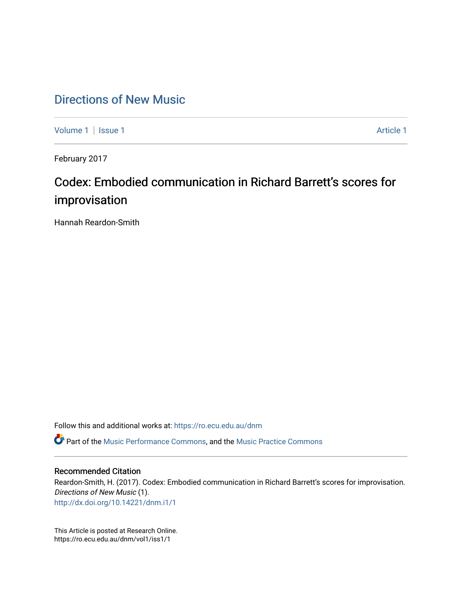# [Directions of New Music](https://ro.ecu.edu.au/dnm)

[Volume 1](https://ro.ecu.edu.au/dnm/vol1) | [Issue 1](https://ro.ecu.edu.au/dnm/vol1/iss1) [Article 1](https://ro.ecu.edu.au/dnm/vol1/iss1/1) Article 1 Article 1

February 2017

# Codex: Embodied communication in Richard Barrett's scores for improvisation

Hannah Reardon-Smith

Follow this and additional works at: [https://ro.ecu.edu.au/dnm](https://ro.ecu.edu.au/dnm?utm_source=ro.ecu.edu.au%2Fdnm%2Fvol1%2Fiss1%2F1&utm_medium=PDF&utm_campaign=PDFCoverPages) 

**C** Part of the [Music Performance Commons](http://network.bepress.com/hgg/discipline/1128?utm_source=ro.ecu.edu.au%2Fdnm%2Fvol1%2Fiss1%2F1&utm_medium=PDF&utm_campaign=PDFCoverPages), and the Music Practice Commons

#### Recommended Citation

Reardon-Smith, H. (2017). Codex: Embodied communication in Richard Barrett's scores for improvisation. Directions of New Music (1). <http://dx.doi.org/10.14221/dnm.i1/1>

This Article is posted at Research Online. https://ro.ecu.edu.au/dnm/vol1/iss1/1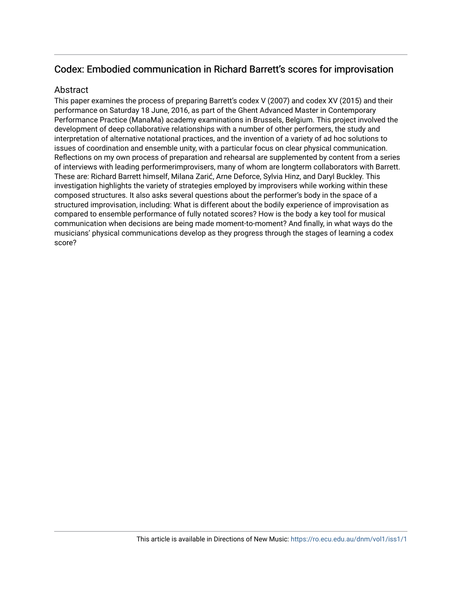# Codex: Embodied communication in Richard Barrett's scores for improvisation

## Abstract

This paper examines the process of preparing Barrett's codex V (2007) and codex XV (2015) and their performance on Saturday 18 June, 2016, as part of the Ghent Advanced Master in Contemporary Performance Practice (ManaMa) academy examinations in Brussels, Belgium. This project involved the development of deep collaborative relationships with a number of other performers, the study and interpretation of alternative notational practices, and the invention of a variety of ad hoc solutions to issues of coordination and ensemble unity, with a particular focus on clear physical communication. Reflections on my own process of preparation and rehearsal are supplemented by content from a series of interviews with leading performerimprovisers, many of whom are longterm collaborators with Barrett. These are: Richard Barrett himself, Milana Zarić, Arne Deforce, Sylvia Hinz, and Daryl Buckley. This investigation highlights the variety of strategies employed by improvisers while working within these composed structures. It also asks several questions about the performer's body in the space of a structured improvisation, including: What is different about the bodily experience of improvisation as compared to ensemble performance of fully notated scores? How is the body a key tool for musical communication when decisions are being made moment-to-moment? And finally, in what ways do the musicians' physical communications develop as they progress through the stages of learning a codex score?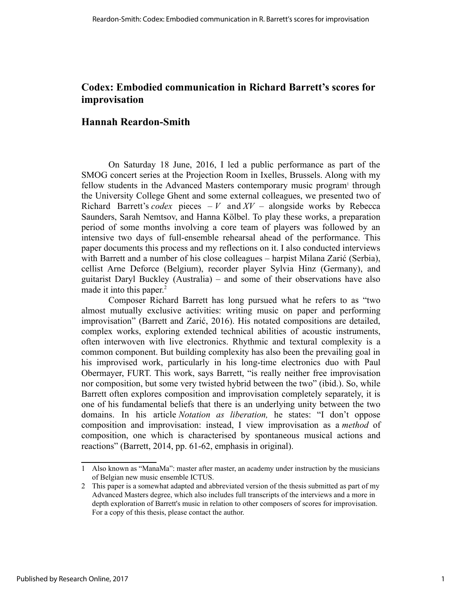# **Codex: Embodied communication in Richard Barrett's scores for improvisation**

# **Hannah Reardon-Smith**

On Saturday 18 June, 2016, I led a public performance as part of the SMOG concert series at the Projection Room in Ixelles, Brussels. Along with my fellow students in the Advanced Masters contemporary music program<sup>1</sup> through the University College Ghent and some external colleagues, we presented two of Richard Barrett's *codex* pieces  $-V$  and  $XY$  – alongside works by Rebecca Saunders, Sarah Nemtsov, and Hanna Kölbel. To play these works, a preparation period of some months involving a core team of players was followed by an intensive two days of full-ensemble rehearsal ahead of the performance. This paper documents this process and my reflections on it. I also conducted interviews with Barrett and a number of his close colleagues – harpist Milana Zarić (Serbia), cellist Arne Deforce (Belgium), recorder player Sylvia Hinz (Germany), and guitarist Daryl Buckley (Australia) – and some of their observations have also made it into this paper. $<sup>2</sup>$ </sup>

Composer Richard Barrett has long pursued what he refers to as "two almost mutually exclusive activities: writing music on paper and performing improvisation" (Barrett and Zarić, 2016). His notated compositions are detailed, complex works, exploring extended technical abilities of acoustic instruments, often interwoven with live electronics. Rhythmic and textural complexity is a common component. But building complexity has also been the prevailing goal in his improvised work, particularly in his long-time electronics duo with Paul Obermayer, FURT. This work, says Barrett, "is really neither free improvisation nor composition, but some very twisted hybrid between the two" (ibid.). So, while Barrett often explores composition and improvisation completely separately, it is one of his fundamental beliefs that there is an underlying unity between the two domains. In his article *Notation as liberation,* he states: "I don't oppose composition and improvisation: instead, I view improvisation as a *method* of composition, one which is characterised by spontaneous musical actions and reactions" (Barrett, 2014, pp. 61-62, emphasis in original).

<sup>1</sup> Also known as "ManaMa": master after master, an academy under instruction by the musicians of Belgian new music ensemble ICTUS.

<sup>2</sup> This paper is a somewhat adapted and abbreviated version of the thesis submitted as part of my Advanced Masters degree, which also includes full transcripts of the interviews and a more in depth exploration of Barrett's music in relation to other composers of scores for improvisation. For a copy of this thesis, please contact the author.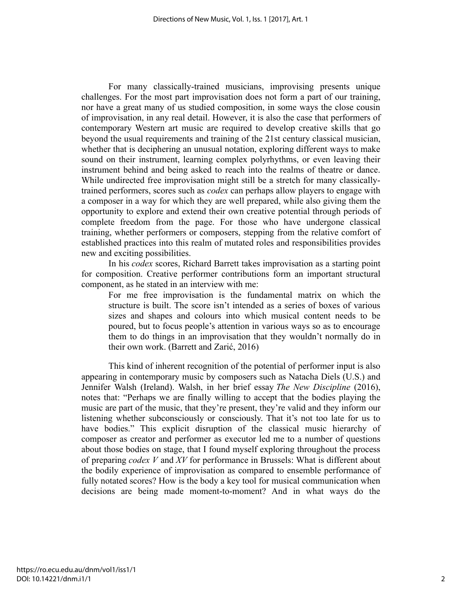For many classically-trained musicians, improvising presents unique challenges. For the most part improvisation does not form a part of our training, nor have a great many of us studied composition, in some ways the close cousin of improvisation, in any real detail. However, it is also the case that performers of contemporary Western art music are required to develop creative skills that go beyond the usual requirements and training of the 21st century classical musician, whether that is deciphering an unusual notation, exploring different ways to make sound on their instrument, learning complex polyrhythms, or even leaving their instrument behind and being asked to reach into the realms of theatre or dance. While undirected free improvisation might still be a stretch for many classicallytrained performers, scores such as *codex* can perhaps allow players to engage with a composer in a way for which they are well prepared, while also giving them the opportunity to explore and extend their own creative potential through periods of complete freedom from the page. For those who have undergone classical training, whether performers or composers, stepping from the relative comfort of established practices into this realm of mutated roles and responsibilities provides new and exciting possibilities.

In his *codex* scores, Richard Barrett takes improvisation as a starting point for composition. Creative performer contributions form an important structural component, as he stated in an interview with me:

For me free improvisation is the fundamental matrix on which the structure is built. The score isn't intended as a series of boxes of various sizes and shapes and colours into which musical content needs to be poured, but to focus people's attention in various ways so as to encourage them to do things in an improvisation that they wouldn't normally do in their own work. (Barrett and Zarić, 2016)

This kind of inherent recognition of the potential of performer input is also appearing in contemporary music by composers such as Natacha Diels (U.S.) and Jennifer Walsh (Ireland). Walsh, in her brief essay *The New Discipline* (2016), notes that: "Perhaps we are finally willing to accept that the bodies playing the music are part of the music, that they're present, they're valid and they inform our listening whether subconsciously or consciously. That it's not too late for us to have bodies." This explicit disruption of the classical music hierarchy of composer as creator and performer as executor led me to a number of questions about those bodies on stage, that I found myself exploring throughout the process of preparing *codex V* and *XV* for performance in Brussels: What is different about the bodily experience of improvisation as compared to ensemble performance of fully notated scores? How is the body a key tool for musical communication when decisions are being made moment-to-moment? And in what ways do the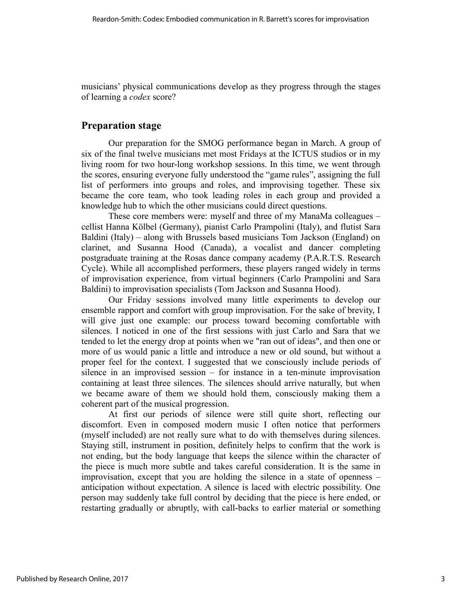musicians' physical communications develop as they progress through the stages of learning a *codex* score?

## **Preparation stage**

Our preparation for the SMOG performance began in March. A group of six of the final twelve musicians met most Fridays at the ICTUS studios or in my living room for two hour-long workshop sessions. In this time, we went through the scores, ensuring everyone fully understood the "game rules", assigning the full list of performers into groups and roles, and improvising together. These six became the core team, who took leading roles in each group and provided a knowledge hub to which the other musicians could direct questions.

These core members were: myself and three of my ManaMa colleagues – cellist Hanna Kölbel (Germany), pianist Carlo Prampolini (Italy), and flutist Sara Baldini (Italy) – along with Brussels based musicians Tom Jackson (England) on clarinet, and Susanna Hood (Canada), a vocalist and dancer completing postgraduate training at the Rosas dance company academy (P.A.R.T.S. Research Cycle). While all accomplished performers, these players ranged widely in terms of improvisation experience, from virtual beginners (Carlo Prampolini and Sara Baldini) to improvisation specialists (Tom Jackson and Susanna Hood).

Our Friday sessions involved many little experiments to develop our ensemble rapport and comfort with group improvisation. For the sake of brevity, I will give just one example: our process toward becoming comfortable with silences. I noticed in one of the first sessions with just Carlo and Sara that we tended to let the energy drop at points when we "ran out of ideas", and then one or more of us would panic a little and introduce a new or old sound, but without a proper feel for the context. I suggested that we consciously include periods of silence in an improvised session – for instance in a ten-minute improvisation containing at least three silences. The silences should arrive naturally, but when we became aware of them we should hold them, consciously making them a coherent part of the musical progression.

At first our periods of silence were still quite short, reflecting our discomfort. Even in composed modern music I often notice that performers (myself included) are not really sure what to do with themselves during silences. Staying still, instrument in position, definitely helps to confirm that the work is not ending, but the body language that keeps the silence within the character of the piece is much more subtle and takes careful consideration. It is the same in improvisation, except that you are holding the silence in a state of openness – anticipation without expectation. A silence is laced with electric possibility. One person may suddenly take full control by deciding that the piece is here ended, or restarting gradually or abruptly, with call-backs to earlier material or something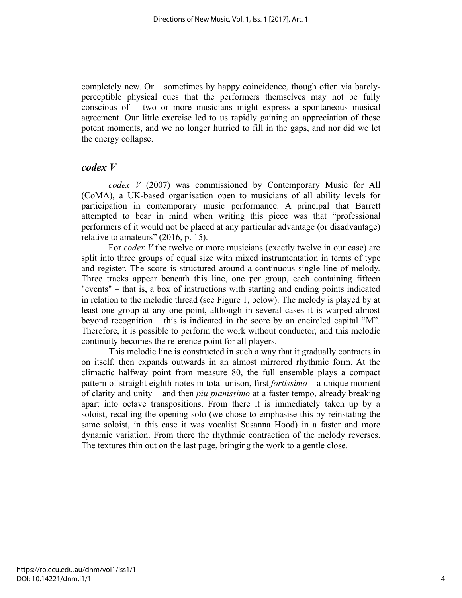completely new. Or – sometimes by happy coincidence, though often via barelyperceptible physical cues that the performers themselves may not be fully conscious of – two or more musicians might express a spontaneous musical agreement. Our little exercise led to us rapidly gaining an appreciation of these potent moments, and we no longer hurried to fill in the gaps, and nor did we let the energy collapse.

#### *codex V*

*codex V* (2007) was commissioned by Contemporary Music for All (CoMA), a UK-based organisation open to musicians of all ability levels for participation in contemporary music performance. A principal that Barrett attempted to bear in mind when writing this piece was that "professional performers of it would not be placed at any particular advantage (or disadvantage) relative to amateurs" (2016, p. 15).

For *codex V* the twelve or more musicians (exactly twelve in our case) are split into three groups of equal size with mixed instrumentation in terms of type and register. The score is structured around a continuous single line of melody. Three tracks appear beneath this line, one per group, each containing fifteen "events" – that is, a box of instructions with starting and ending points indicated in relation to the melodic thread (see Figure 1, below). The melody is played by at least one group at any one point, although in several cases it is warped almost beyond recognition – this is indicated in the score by an encircled capital "M". Therefore, it is possible to perform the work without conductor, and this melodic continuity becomes the reference point for all players.

This melodic line is constructed in such a way that it gradually contracts in on itself, then expands outwards in an almost mirrored rhythmic form. At the climactic halfway point from measure 80, the full ensemble plays a compact pattern of straight eighth-notes in total unison, first *fortissimo* – a unique moment of clarity and unity – and then *piu pianissimo* at a faster tempo, already breaking apart into octave transpositions. From there it is immediately taken up by a soloist, recalling the opening solo (we chose to emphasise this by reinstating the same soloist, in this case it was vocalist Susanna Hood) in a faster and more dynamic variation. From there the rhythmic contraction of the melody reverses. The textures thin out on the last page, bringing the work to a gentle close.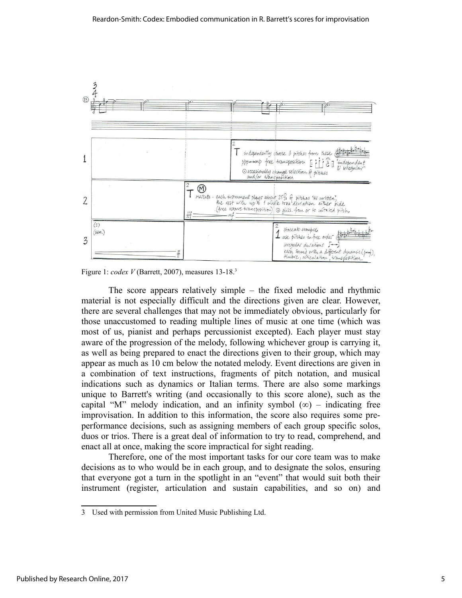

Figure 1: *codex V* (Barrett, 2007), measures 13-18.3

The score appears relatively simple – the fixed melodic and rhythmic material is not especially difficult and the directions given are clear. However, there are several challenges that may not be immediately obvious, particularly for those unaccustomed to reading multiple lines of music at one time (which was most of us, pianist and perhaps percussionist excepted). Each player must stay aware of the progression of the melody, following whichever group is carrying it, as well as being prepared to enact the directions given to their group, which may appear as much as 10 cm below the notated melody. Event directions are given in a combination of text instructions, fragments of pitch notation, and musical indications such as dynamics or Italian terms. There are also some markings unique to Barrett's writing (and occasionally to this score alone), such as the capital "M" melody indication, and an infinity symbol  $(\infty)$  – indicating free improvisation. In addition to this information, the score also requires some preperformance decisions, such as assigning members of each group specific solos, duos or trios. There is a great deal of information to try to read, comprehend, and enact all at once, making the score impractical for sight reading.

Therefore, one of the most important tasks for our core team was to make decisions as to who would be in each group, and to designate the solos, ensuring that everyone got a turn in the spotlight in an "event" that would suit both their instrument (register, articulation and sustain capabilities, and so on) and

<sup>3</sup> Used with permission from United Music Publishing Ltd.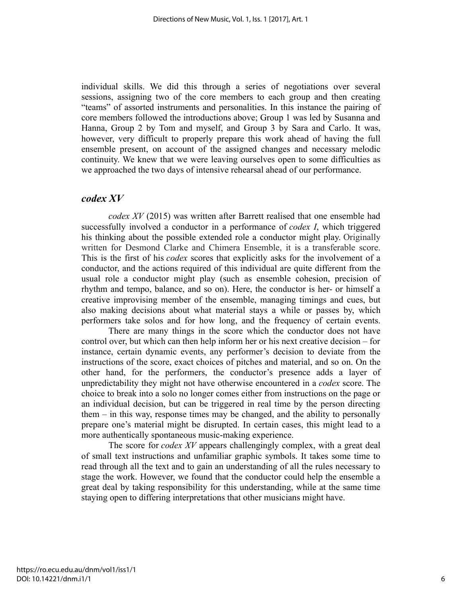individual skills. We did this through a series of negotiations over several sessions, assigning two of the core members to each group and then creating "teams" of assorted instruments and personalities. In this instance the pairing of core members followed the introductions above; Group 1 was led by Susanna and Hanna, Group 2 by Tom and myself, and Group 3 by Sara and Carlo. It was, however, very difficult to properly prepare this work ahead of having the full ensemble present, on account of the assigned changes and necessary melodic continuity. We knew that we were leaving ourselves open to some difficulties as we approached the two days of intensive rehearsal ahead of our performance.

#### *codex XV*

*codex XV* (2015) was written after Barrett realised that one ensemble had successfully involved a conductor in a performance of *codex I*, which triggered his thinking about the possible extended role a conductor might play. Originally written for Desmond Clarke and Chimera Ensemble, it is a transferable score. This is the first of his *codex* scores that explicitly asks for the involvement of a conductor, and the actions required of this individual are quite different from the usual role a conductor might play (such as ensemble cohesion, precision of rhythm and tempo, balance, and so on). Here, the conductor is her- or himself a creative improvising member of the ensemble, managing timings and cues, but also making decisions about what material stays a while or passes by, which performers take solos and for how long, and the frequency of certain events.

There are many things in the score which the conductor does not have control over, but which can then help inform her or his next creative decision – for instance, certain dynamic events, any performer's decision to deviate from the instructions of the score, exact choices of pitches and material, and so on. On the other hand, for the performers, the conductor's presence adds a layer of unpredictability they might not have otherwise encountered in a *codex* score. The choice to break into a solo no longer comes either from instructions on the page or an individual decision, but can be triggered in real time by the person directing them – in this way, response times may be changed, and the ability to personally prepare one's material might be disrupted. In certain cases, this might lead to a more authentically spontaneous music-making experience.

The score for *codex XV* appears challengingly complex, with a great deal of small text instructions and unfamiliar graphic symbols. It takes some time to read through all the text and to gain an understanding of all the rules necessary to stage the work. However, we found that the conductor could help the ensemble a great deal by taking responsibility for this understanding, while at the same time staying open to differing interpretations that other musicians might have.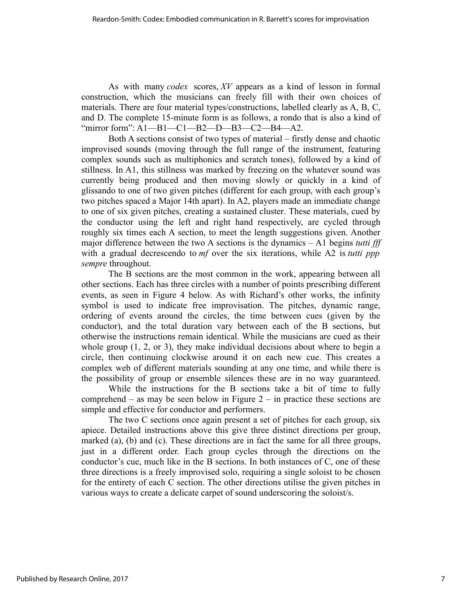As with many *codex* scores, *XV* appears as a kind of lesson in formal construction, which the musicians can freely fill with their own choices of materials. There are four material types/constructions, labelled clearly as A, B, C, and D. The complete 15-minute form is as follows, a rondo that is also a kind of "mirror form": A1—B1—C1—B2—D—B3—C2—B4—A2.

Both A sections consist of two types of material – firstly dense and chaotic improvised sounds (moving through the full range of the instrument, featuring complex sounds such as multiphonics and scratch tones), followed by a kind of stillness. In A1, this stillness was marked by freezing on the whatever sound was currently being produced and then moving slowly or quickly in a kind of glissando to one of two given pitches (different for each group, with each group's two pitches spaced a Major 14th apart). In A2, players made an immediate change to one of six given pitches, creating a sustained cluster. These materials, cued by the conductor using the left and right hand respectively, are cycled through roughly six times each A section, to meet the length suggestions given. Another major difference between the two A sections is the dynamics – A1 begins *tutti fff* with a gradual decrescendo to *mf* over the six iterations, while A2 is *tutti ppp sempre* throughout.

The B sections are the most common in the work, appearing between all other sections. Each has three circles with a number of points prescribing different events, as seen in Figure 4 below. As with Richard's other works, the infinity symbol is used to indicate free improvisation. The pitches, dynamic range, ordering of events around the circles, the time between cues (given by the conductor), and the total duration vary between each of the B sections, but otherwise the instructions remain identical. While the musicians are cued as their whole group  $(1, 2, \text{or } 3)$ , they make individual decisions about where to begin a circle, then continuing clockwise around it on each new cue. This creates a complex web of different materials sounding at any one time, and while there is the possibility of group or ensemble silences these are in no way guaranteed.

While the instructions for the B sections take a bit of time to fully comprehend – as may be seen below in Figure  $2$  – in practice these sections are simple and effective for conductor and performers.

The two C sections once again present a set of pitches for each group, six apiece. Detailed instructions above this give three distinct directions per group, marked (a), (b) and (c). These directions are in fact the same for all three groups, just in a different order. Each group cycles through the directions on the conductor's cue, much like in the B sections. In both instances of C, one of these three directions is a freely improvised solo, requiring a single soloist to be chosen for the entirety of each C section. The other directions utilise the given pitches in various ways to create a delicate carpet of sound underscoring the soloist/s.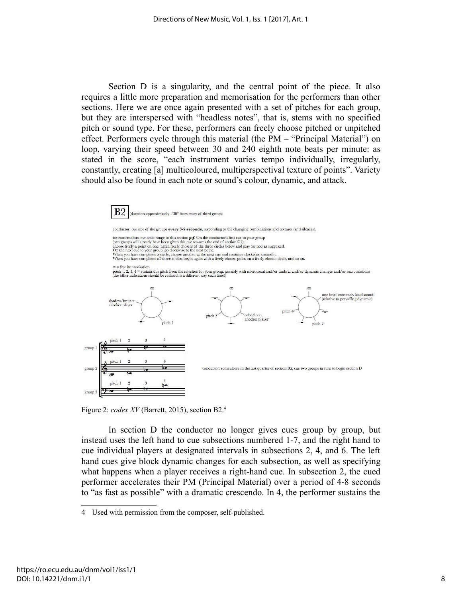Section D is a singularity, and the central point of the piece. It also requires a little more preparation and memorisation for the performers than other sections. Here we are once again presented with a set of pitches for each group, but they are interspersed with "headless notes", that is, stems with no specified pitch or sound type. For these, performers can freely choose pitched or unpitched effect. Performers cycle through this material (the PM – "Principal Material") on loop, varying their speed between 30 and 240 eighth note beats per minute: as stated in the score, "each instrument varies tempo individually, irregularly, constantly, creating [a] multicoloured, multiperspectival texture of points". Variety should also be found in each note or sound's colour, dynamic, and attack.



Figure 2: *codex XV* (Barrett, 2015), section B2.4

In section D the conductor no longer gives cues group by group, but instead uses the left hand to cue subsections numbered 1-7, and the right hand to cue individual players at designated intervals in subsections 2, 4, and 6. The left hand cues give block dynamic changes for each subsection, as well as specifying what happens when a player receives a right-hand cue. In subsection 2, the cued performer accelerates their PM (Principal Material) over a period of 4-8 seconds to "as fast as possible" with a dramatic crescendo. In 4, the performer sustains the

<sup>4</sup> Used with permission from the composer, self-published.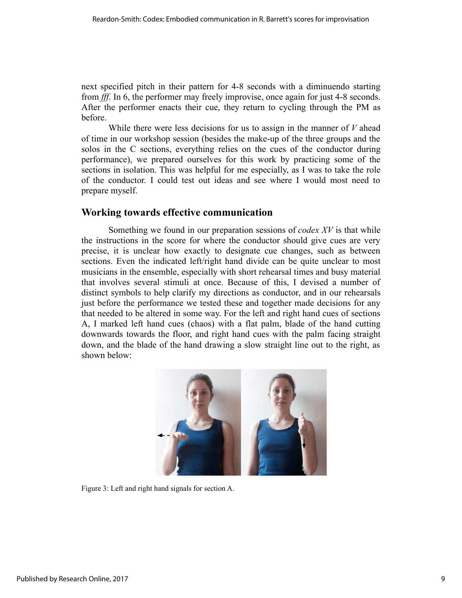next specified pitch in their pattern for 4-8 seconds with a diminuendo starting from *fff*. In 6, the performer may freely improvise, once again for just 4-8 seconds. After the performer enacts their cue, they return to cycling through the PM as before.

While there were less decisions for us to assign in the manner of *V* ahead of time in our workshop session (besides the make-up of the three groups and the solos in the C sections, everything relies on the cues of the conductor during performance), we prepared ourselves for this work by practicing some of the sections in isolation. This was helpful for me especially, as I was to take the role of the conductor. I could test out ideas and see where I would most need to prepare myself.

## **Working towards effective communication**

Something we found in our preparation sessions of *codex XV* is that while the instructions in the score for where the conductor should give cues are very precise, it is unclear how exactly to designate cue changes, such as between sections. Even the indicated left/right hand divide can be quite unclear to most musicians in the ensemble, especially with short rehearsal times and busy material that involves several stimuli at once. Because of this, I devised a number of distinct symbols to help clarify my directions as conductor, and in our rehearsals just before the performance we tested these and together made decisions for any that needed to be altered in some way. For the left and right hand cues of sections A, I marked left hand cues (chaos) with a flat palm, blade of the hand cutting downwards towards the floor, and right hand cues with the palm facing straight down, and the blade of the hand drawing a slow straight line out to the right, as shown below:



Figure 3: Left and right hand signals for section A.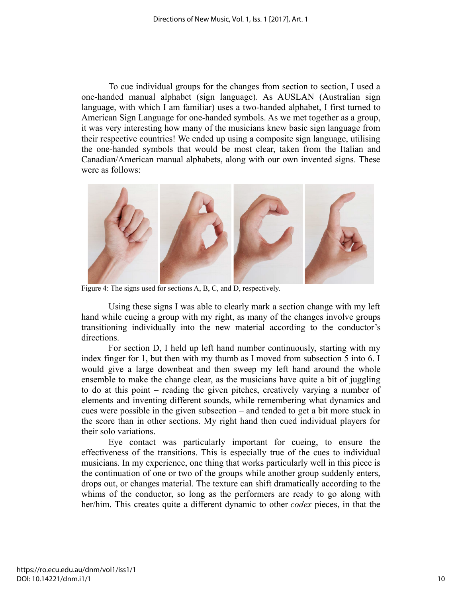To cue individual groups for the changes from section to section, I used a one-handed manual alphabet (sign language). As AUSLAN (Australian sign language, with which I am familiar) uses a two-handed alphabet, I first turned to American Sign Language for one-handed symbols. As we met together as a group, it was very interesting how many of the musicians knew basic sign language from their respective countries! We ended up using a composite sign language, utilising the one-handed symbols that would be most clear, taken from the Italian and Canadian/American manual alphabets, along with our own invented signs. These were as follows:



Figure 4: The signs used for sections A, B, C, and D, respectively.

Using these signs I was able to clearly mark a section change with my left hand while cueing a group with my right, as many of the changes involve groups transitioning individually into the new material according to the conductor's directions.

For section D, I held up left hand number continuously, starting with my index finger for 1, but then with my thumb as I moved from subsection 5 into 6. I would give a large downbeat and then sweep my left hand around the whole ensemble to make the change clear, as the musicians have quite a bit of juggling to do at this point – reading the given pitches, creatively varying a number of elements and inventing different sounds, while remembering what dynamics and cues were possible in the given subsection – and tended to get a bit more stuck in the score than in other sections. My right hand then cued individual players for their solo variations.

Eye contact was particularly important for cueing, to ensure the effectiveness of the transitions. This is especially true of the cues to individual musicians. In my experience, one thing that works particularly well in this piece is the continuation of one or two of the groups while another group suddenly enters, drops out, or changes material. The texture can shift dramatically according to the whims of the conductor, so long as the performers are ready to go along with her/him. This creates quite a different dynamic to other *codex* pieces, in that the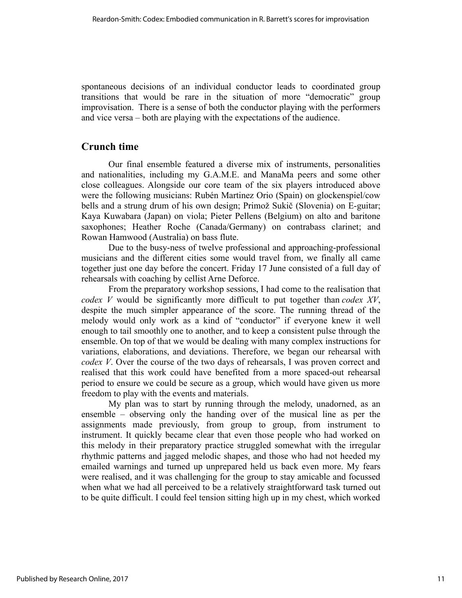spontaneous decisions of an individual conductor leads to coordinated group transitions that would be rare in the situation of more "democratic" group improvisation. There is a sense of both the conductor playing with the performers and vice versa – both are playing with the expectations of the audience.

# **Crunch time**

Our final ensemble featured a diverse mix of instruments, personalities and nationalities, including my G.A.M.E. and ManaMa peers and some other close colleagues. Alongside our core team of the six players introduced above were the following musicians: Rubén Martinez Orio (Spain) on glockenspiel/cow bells and a strung drum of his own design; Primož Sukič (Slovenia) on E-guitar; Kaya Kuwabara (Japan) on viola; Pieter Pellens (Belgium) on alto and baritone saxophones; Heather Roche (Canada/Germany) on contrabass clarinet; and Rowan Hamwood (Australia) on bass flute.

Due to the busy-ness of twelve professional and approaching-professional musicians and the different cities some would travel from, we finally all came together just one day before the concert. Friday 17 June consisted of a full day of rehearsals with coaching by cellist Arne Deforce.

From the preparatory workshop sessions, I had come to the realisation that *codex V* would be significantly more difficult to put together than *codex XV*, despite the much simpler appearance of the score. The running thread of the melody would only work as a kind of "conductor" if everyone knew it well enough to tail smoothly one to another, and to keep a consistent pulse through the ensemble. On top of that we would be dealing with many complex instructions for variations, elaborations, and deviations. Therefore, we began our rehearsal with *codex V*. Over the course of the two days of rehearsals, I was proven correct and realised that this work could have benefited from a more spaced-out rehearsal period to ensure we could be secure as a group, which would have given us more freedom to play with the events and materials.

My plan was to start by running through the melody, unadorned, as an ensemble – observing only the handing over of the musical line as per the assignments made previously, from group to group, from instrument to instrument. It quickly became clear that even those people who had worked on this melody in their preparatory practice struggled somewhat with the irregular rhythmic patterns and jagged melodic shapes, and those who had not heeded my emailed warnings and turned up unprepared held us back even more. My fears were realised, and it was challenging for the group to stay amicable and focussed when what we had all perceived to be a relatively straightforward task turned out to be quite difficult. I could feel tension sitting high up in my chest, which worked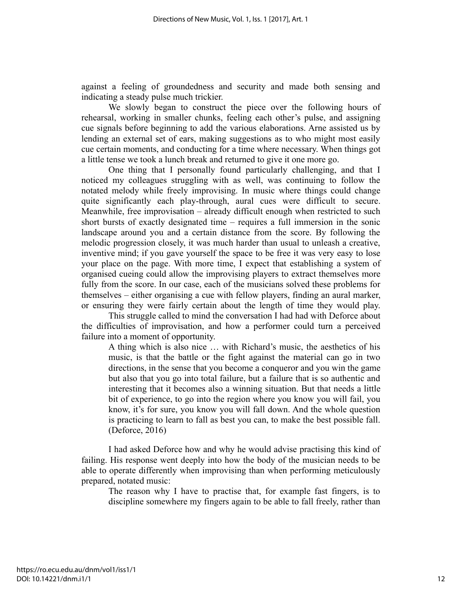against a feeling of groundedness and security and made both sensing and indicating a steady pulse much trickier.

We slowly began to construct the piece over the following hours of rehearsal, working in smaller chunks, feeling each other's pulse, and assigning cue signals before beginning to add the various elaborations. Arne assisted us by lending an external set of ears, making suggestions as to who might most easily cue certain moments, and conducting for a time where necessary. When things got a little tense we took a lunch break and returned to give it one more go.

One thing that I personally found particularly challenging, and that I noticed my colleagues struggling with as well, was continuing to follow the notated melody while freely improvising. In music where things could change quite significantly each play-through, aural cues were difficult to secure. Meanwhile, free improvisation – already difficult enough when restricted to such short bursts of exactly designated time – requires a full immersion in the sonic landscape around you and a certain distance from the score. By following the melodic progression closely, it was much harder than usual to unleash a creative, inventive mind; if you gave yourself the space to be free it was very easy to lose your place on the page. With more time, I expect that establishing a system of organised cueing could allow the improvising players to extract themselves more fully from the score. In our case, each of the musicians solved these problems for themselves – either organising a cue with fellow players, finding an aural marker, or ensuring they were fairly certain about the length of time they would play.

This struggle called to mind the conversation I had had with Deforce about the difficulties of improvisation, and how a performer could turn a perceived failure into a moment of opportunity.

A thing which is also nice … with Richard's music, the aesthetics of his music, is that the battle or the fight against the material can go in two directions, in the sense that you become a conqueror and you win the game but also that you go into total failure, but a failure that is so authentic and interesting that it becomes also a winning situation. But that needs a little bit of experience, to go into the region where you know you will fail, you know, it's for sure, you know you will fall down. And the whole question is practicing to learn to fall as best you can, to make the best possible fall. (Deforce, 2016)

I had asked Deforce how and why he would advise practising this kind of failing. His response went deeply into how the body of the musician needs to be able to operate differently when improvising than when performing meticulously prepared, notated music:

The reason why I have to practise that, for example fast fingers, is to discipline somewhere my fingers again to be able to fall freely, rather than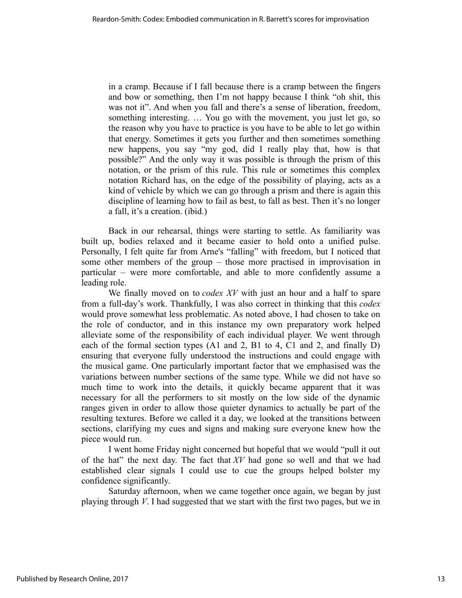in a cramp. Because if I fall because there is a cramp between the fingers and bow or something, then I'm not happy because I think "oh shit, this was not it". And when you fall and there's a sense of liberation, freedom, something interesting. … You go with the movement, you just let go, so the reason why you have to practice is you have to be able to let go within that energy. Sometimes it gets you further and then sometimes something new happens, you say "my god, did I really play that, how is that possible?" And the only way it was possible is through the prism of this notation, or the prism of this rule. This rule or sometimes this complex notation Richard has, on the edge of the possibility of playing, acts as a kind of vehicle by which we can go through a prism and there is again this discipline of learning how to fail as best, to fall as best. Then it's no longer a fall, it's a creation. (ibid.)

Back in our rehearsal, things were starting to settle. As familiarity was built up, bodies relaxed and it became easier to hold onto a unified pulse. Personally, I felt quite far from Arne's "falling" with freedom, but I noticed that some other members of the group – those more practised in improvisation in particular – were more comfortable, and able to more confidently assume a leading role.

We finally moved on to *codex XV* with just an hour and a half to spare from a full-day's work. Thankfully, I was also correct in thinking that this *codex* would prove somewhat less problematic. As noted above, I had chosen to take on the role of conductor, and in this instance my own preparatory work helped alleviate some of the responsibility of each individual player. We went through each of the formal section types (A1 and 2, B1 to 4, C1 and 2, and finally D) ensuring that everyone fully understood the instructions and could engage with the musical game. One particularly important factor that we emphasised was the variations between number sections of the same type. While we did not have so much time to work into the details, it quickly became apparent that it was necessary for all the performers to sit mostly on the low side of the dynamic ranges given in order to allow those quieter dynamics to actually be part of the resulting textures. Before we called it a day, we looked at the transitions between sections, clarifying my cues and signs and making sure everyone knew how the piece would run.

I went home Friday night concerned but hopeful that we would "pull it out of the hat" the next day. The fact that *XV* had gone so well and that we had established clear signals I could use to cue the groups helped bolster my confidence significantly.

Saturday afternoon, when we came together once again, we began by just playing through *V*. I had suggested that we start with the first two pages, but we in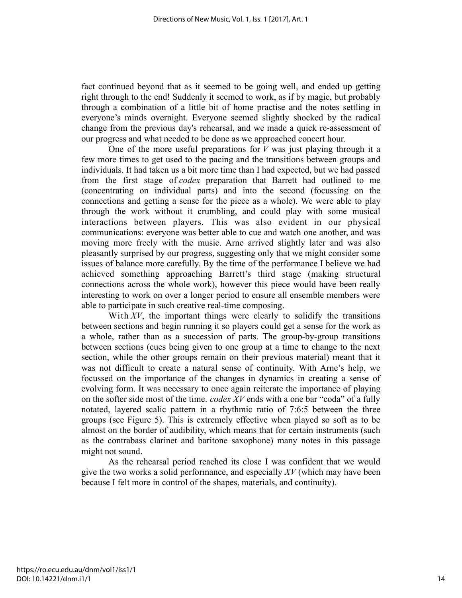fact continued beyond that as it seemed to be going well, and ended up getting right through to the end! Suddenly it seemed to work, as if by magic, but probably through a combination of a little bit of home practise and the notes settling in everyone's minds overnight. Everyone seemed slightly shocked by the radical change from the previous day's rehearsal, and we made a quick re-assessment of our progress and what needed to be done as we approached concert hour.

One of the more useful preparations for *V* was just playing through it a few more times to get used to the pacing and the transitions between groups and individuals. It had taken us a bit more time than I had expected, but we had passed from the first stage of *codex* preparation that Barrett had outlined to me (concentrating on individual parts) and into the second (focussing on the connections and getting a sense for the piece as a whole). We were able to play through the work without it crumbling, and could play with some musical interactions between players. This was also evident in our physical communications: everyone was better able to cue and watch one another, and was moving more freely with the music. Arne arrived slightly later and was also pleasantly surprised by our progress, suggesting only that we might consider some issues of balance more carefully. By the time of the performance I believe we had achieved something approaching Barrett's third stage (making structural connections across the whole work), however this piece would have been really interesting to work on over a longer period to ensure all ensemble members were able to participate in such creative real-time composing.

With XV, the important things were clearly to solidify the transitions between sections and begin running it so players could get a sense for the work as a whole, rather than as a succession of parts. The group-by-group transitions between sections (cues being given to one group at a time to change to the next section, while the other groups remain on their previous material) meant that it was not difficult to create a natural sense of continuity. With Arne's help, we focussed on the importance of the changes in dynamics in creating a sense of evolving form. It was necessary to once again reiterate the importance of playing on the softer side most of the time. *codex XV* ends with a one bar "coda" of a fully notated, layered scalic pattern in a rhythmic ratio of 7:6:5 between the three groups (see Figure 5). This is extremely effective when played so soft as to be almost on the border of audibility, which means that for certain instruments (such as the contrabass clarinet and baritone saxophone) many notes in this passage might not sound.

As the rehearsal period reached its close I was confident that we would give the two works a solid performance, and especially *XV* (which may have been because I felt more in control of the shapes, materials, and continuity).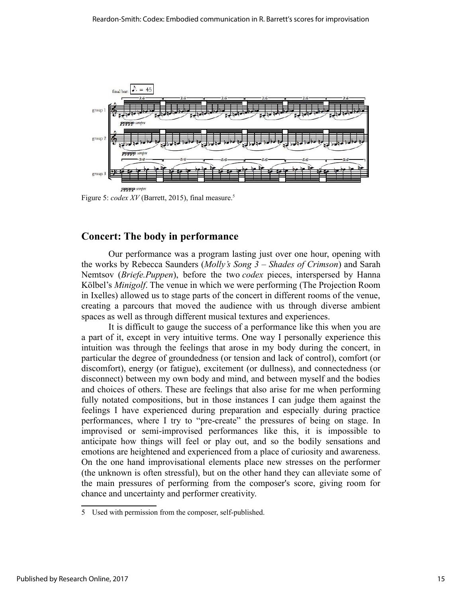

Figure 5: *codex XV* (Barrett, 2015), final measure.<sup>5</sup>

## **Concert: The body in performance**

Our performance was a program lasting just over one hour, opening with the works by Rebecca Saunders (*Molly's Song 3 – Shades of Crimson*) and Sarah Nemtsov (*Briefe.Puppen*), before the two *codex* pieces, interspersed by Hanna Kölbel's *Minigolf*. The venue in which we were performing (The Projection Room in Ixelles) allowed us to stage parts of the concert in different rooms of the venue, creating a parcours that moved the audience with us through diverse ambient spaces as well as through different musical textures and experiences.

It is difficult to gauge the success of a performance like this when you are a part of it, except in very intuitive terms. One way I personally experience this intuition was through the feelings that arose in my body during the concert, in particular the degree of groundedness (or tension and lack of control), comfort (or discomfort), energy (or fatigue), excitement (or dullness), and connectedness (or disconnect) between my own body and mind, and between myself and the bodies and choices of others. These are feelings that also arise for me when performing fully notated compositions, but in those instances I can judge them against the feelings I have experienced during preparation and especially during practice performances, where I try to "pre-create" the pressures of being on stage. In improvised or semi-improvised performances like this, it is impossible to anticipate how things will feel or play out, and so the bodily sensations and emotions are heightened and experienced from a place of curiosity and awareness. On the one hand improvisational elements place new stresses on the performer (the unknown is often stressful), but on the other hand they can alleviate some of the main pressures of performing from the composer's score, giving room for chance and uncertainty and performer creativity.

<sup>5</sup> Used with permission from the composer, self-published.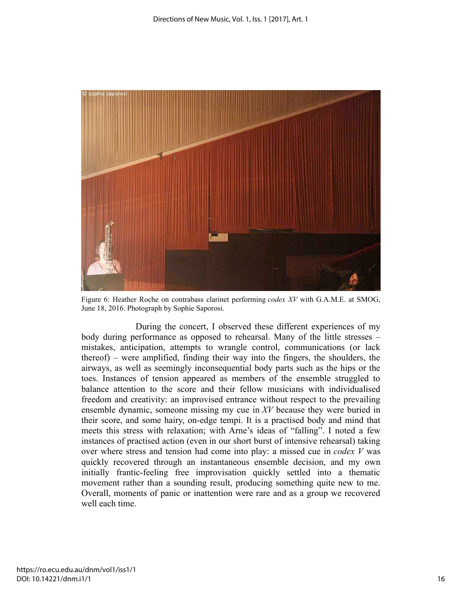

Figure 6: Heather Roche on contrabass clarinet performing *codex XV* with G.A.M.E. at SMOG, June 18, 2016. Photograph by Sophie Saporosi.

During the concert, I observed these different experiences of my body during performance as opposed to rehearsal. Many of the little stresses – mistakes, anticipation, attempts to wrangle control, communications (or lack thereof) – were amplified, finding their way into the fingers, the shoulders, the airways, as well as seemingly inconsequential body parts such as the hips or the toes. Instances of tension appeared as members of the ensemble struggled to balance attention to the score and their fellow musicians with individualised freedom and creativity: an improvised entrance without respect to the prevailing ensemble dynamic, someone missing my cue in *XV* because they were buried in their score, and some hairy, on-edge tempi. It is a practised body and mind that meets this stress with relaxation; with Arne's ideas of "falling". I noted a few instances of practised action (even in our short burst of intensive rehearsal) taking over where stress and tension had come into play: a missed cue in *codex V* was quickly recovered through an instantaneous ensemble decision, and my own initially frantic-feeling free improvisation quickly settled into a thematic movement rather than a sounding result, producing something quite new to me. Overall, moments of panic or inattention were rare and as a group we recovered well each time.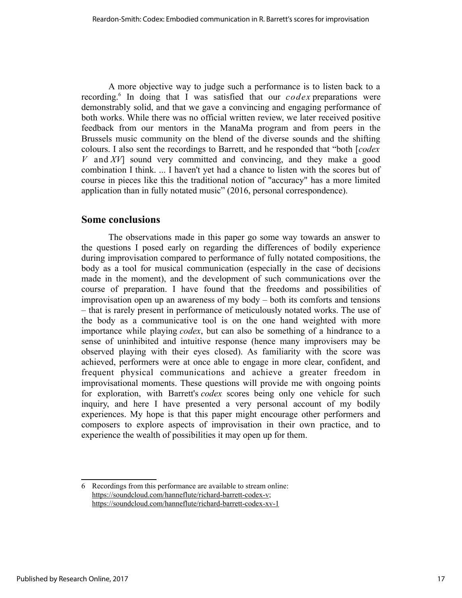A more objective way to judge such a performance is to listen back to a recording.<sup>6</sup> In doing that I was satisfied that our *codex* preparations were demonstrably solid, and that we gave a convincing and engaging performance of both works. While there was no official written review, we later received positive feedback from our mentors in the ManaMa program and from peers in the Brussels music community on the blend of the diverse sounds and the shifting colours. I also sent the recordings to Barrett, and he responded that "both [*codex V* and *XV*] sound very committed and convincing, and they make a good combination I think. ... I haven't yet had a chance to listen with the scores but of course in pieces like this the traditional notion of "accuracy" has a more limited application than in fully notated music" (2016, personal correspondence).

## **Some conclusions**

The observations made in this paper go some way towards an answer to the questions I posed early on regarding the differences of bodily experience during improvisation compared to performance of fully notated compositions, the body as a tool for musical communication (especially in the case of decisions made in the moment), and the development of such communications over the course of preparation. I have found that the freedoms and possibilities of improvisation open up an awareness of my body – both its comforts and tensions – that is rarely present in performance of meticulously notated works. The use of the body as a communicative tool is on the one hand weighted with more importance while playing *codex*, but can also be something of a hindrance to a sense of uninhibited and intuitive response (hence many improvisers may be observed playing with their eyes closed). As familiarity with the score was achieved, performers were at once able to engage in more clear, confident, and frequent physical communications and achieve a greater freedom in improvisational moments. These questions will provide me with ongoing points for exploration, with Barrett's *codex* scores being only one vehicle for such inquiry, and here I have presented a very personal account of my bodily experiences. My hope is that this paper might encourage other performers and composers to explore aspects of improvisation in their own practice, and to experience the wealth of possibilities it may open up for them.

<sup>6</sup> Recordings from this performance are available to stream online: https://soundcloud.com/hanneflute/richard-barrett-codex-v; https://soundcloud.com/hanneflute/richard-barrett-codex-xv-1